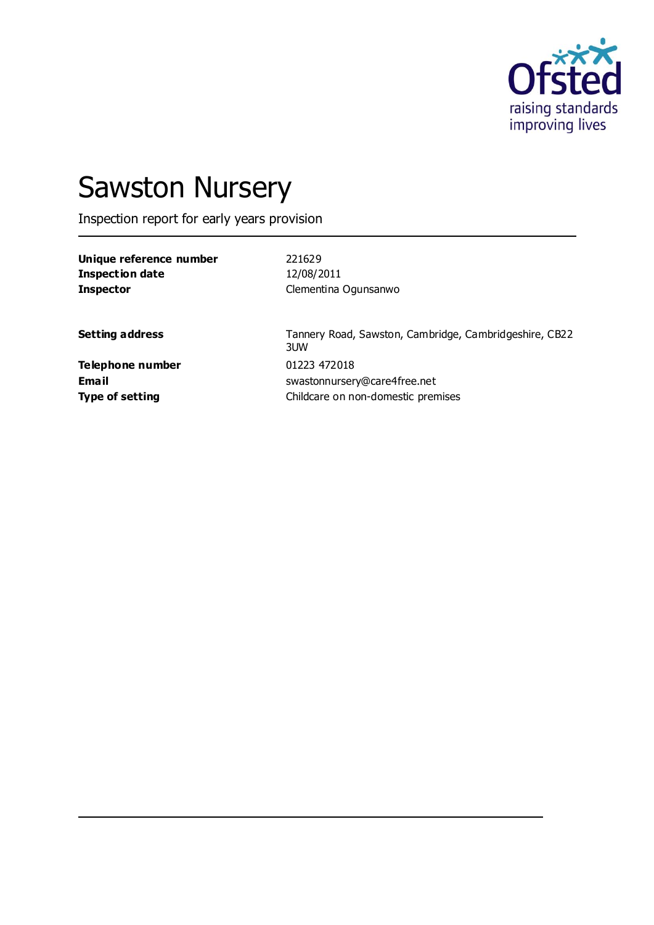

# Sawston Nursery

Inspection report for early years provision

| Unique reference number | 221629               |
|-------------------------|----------------------|
| Inspection date         | 12/08/2011           |
| <b>Inspector</b>        | Clementina Ogunsanwo |

**Setting address** Tannery Road, Sawston, Cambridge, Cambridgeshire, CB22 3UW **Email** swastonnursery@care4free.net **Type of setting** Childcare on non-domestic premises

**Telephone number** 01223 472018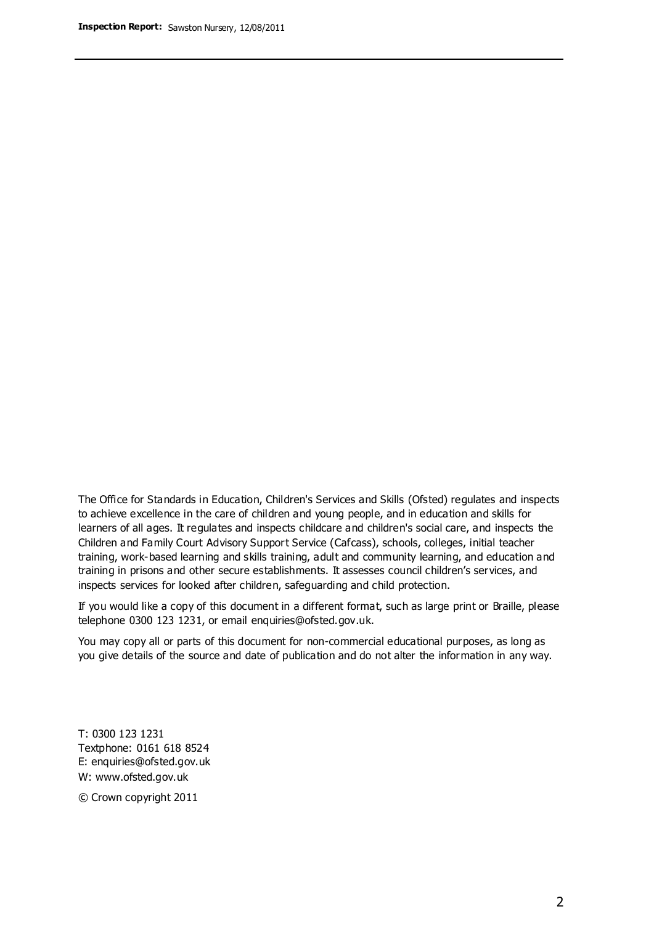The Office for Standards in Education, Children's Services and Skills (Ofsted) regulates and inspects to achieve excellence in the care of children and young people, and in education and skills for learners of all ages. It regulates and inspects childcare and children's social care, and inspects the Children and Family Court Advisory Support Service (Cafcass), schools, colleges, initial teacher training, work-based learning and skills training, adult and community learning, and education and training in prisons and other secure establishments. It assesses council children's services, and inspects services for looked after children, safeguarding and child protection.

If you would like a copy of this document in a different format, such as large print or Braille, please telephone 0300 123 1231, or email enquiries@ofsted.gov.uk.

You may copy all or parts of this document for non-commercial educational purposes, as long as you give details of the source and date of publication and do not alter the information in any way.

T: 0300 123 1231 Textphone: 0161 618 8524 E: enquiries@ofsted.gov.uk W: [www.ofsted.gov.uk](http://www.ofsted.gov.uk/)

© Crown copyright 2011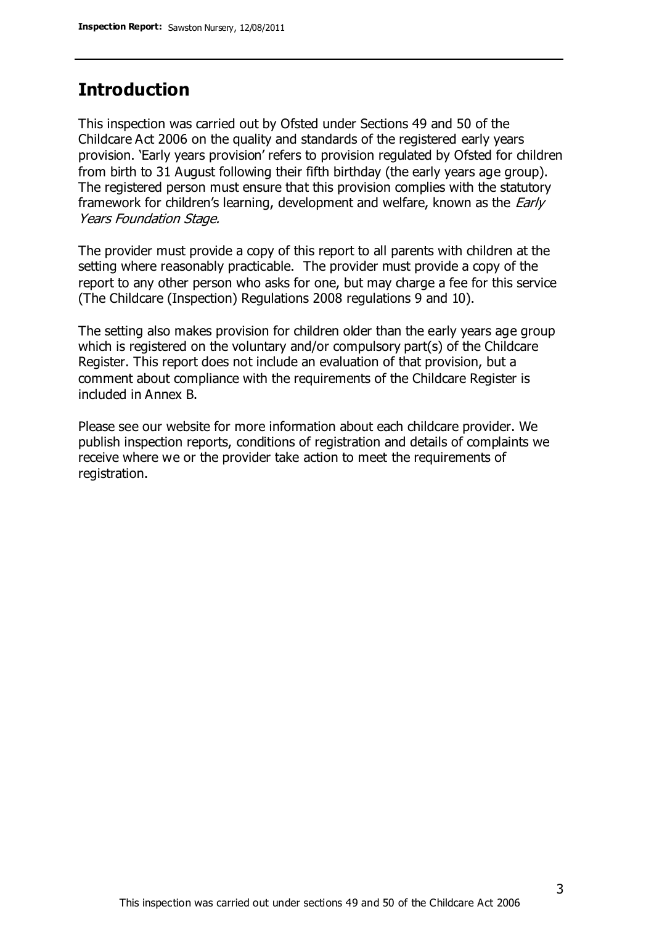#### **Introduction**

This inspection was carried out by Ofsted under Sections 49 and 50 of the Childcare Act 2006 on the quality and standards of the registered early years provision. 'Early years provision' refers to provision regulated by Ofsted for children from birth to 31 August following their fifth birthday (the early years age group). The registered person must ensure that this provision complies with the statutory framework for children's learning, development and welfare, known as the *Early* Years Foundation Stage.

The provider must provide a copy of this report to all parents with children at the setting where reasonably practicable. The provider must provide a copy of the report to any other person who asks for one, but may charge a fee for this service (The Childcare (Inspection) Regulations 2008 regulations 9 and 10).

The setting also makes provision for children older than the early years age group which is registered on the voluntary and/or compulsory part(s) of the Childcare Register. This report does not include an evaluation of that provision, but a comment about compliance with the requirements of the Childcare Register is included in Annex B.

Please see our website for more information about each childcare provider. We publish inspection reports, conditions of registration and details of complaints we receive where we or the provider take action to meet the requirements of registration.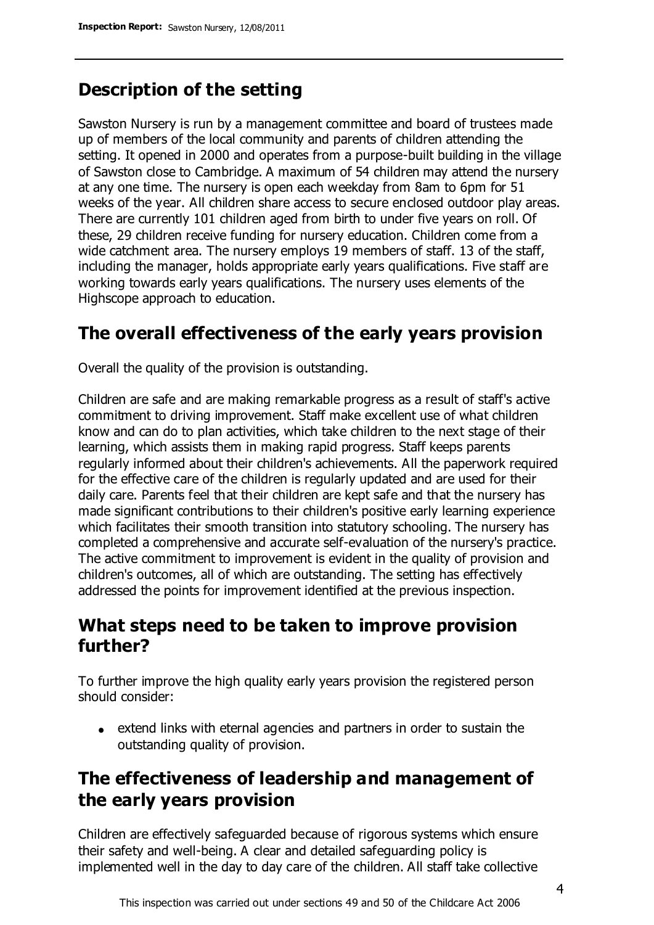# **Description of the setting**

Sawston Nursery is run by a management committee and board of trustees made up of members of the local community and parents of children attending the setting. It opened in 2000 and operates from a purpose-built building in the village of Sawston close to Cambridge. A maximum of 54 children may attend the nursery at any one time. The nursery is open each weekday from 8am to 6pm for 51 weeks of the year. All children share access to secure enclosed outdoor play areas. There are currently 101 children aged from birth to under five years on roll. Of these, 29 children receive funding for nursery education. Children come from a wide catchment area. The nursery employs 19 members of staff. 13 of the staff, including the manager, holds appropriate early years qualifications. Five staff are working towards early years qualifications. The nursery uses elements of the Highscope approach to education.

## **The overall effectiveness of the early years provision**

Overall the quality of the provision is outstanding.

Children are safe and are making remarkable progress as a result of staff's active commitment to driving improvement. Staff make excellent use of what children know and can do to plan activities, which take children to the next stage of their learning, which assists them in making rapid progress. Staff keeps parents regularly informed about their children's achievements. All the paperwork required for the effective care of the children is regularly updated and are used for their daily care. Parents feel that their children are kept safe and that the nursery has made significant contributions to their children's positive early learning experience which facilitates their smooth transition into statutory schooling. The nursery has completed a comprehensive and accurate self-evaluation of the nursery's practice. The active commitment to improvement is evident in the quality of provision and children's outcomes, all of which are outstanding. The setting has effectively addressed the points for improvement identified at the previous inspection.

#### **What steps need to be taken to improve provision further?**

To further improve the high quality early years provision the registered person should consider:

extend links with eternal agencies and partners in order to sustain the outstanding quality of provision.

# **The effectiveness of leadership and management of the early years provision**

Children are effectively safeguarded because of rigorous systems which ensure their safety and well-being. A clear and detailed safeguarding policy is implemented well in the day to day care of the children. All staff take collective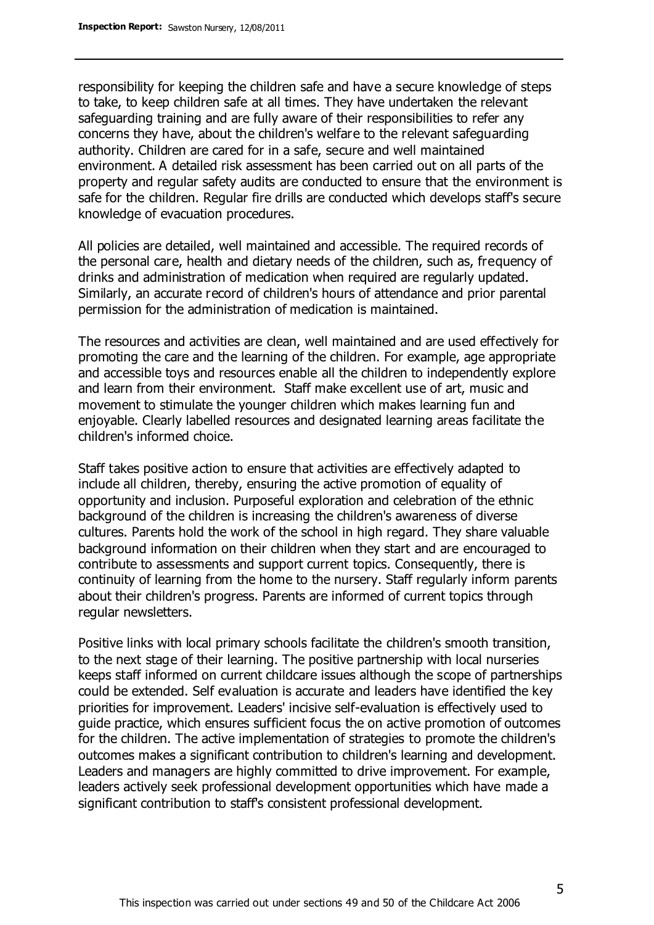responsibility for keeping the children safe and have a secure knowledge of steps to take, to keep children safe at all times. They have undertaken the relevant safeguarding training and are fully aware of their responsibilities to refer any concerns they have, about the children's welfare to the relevant safeguarding authority. Children are cared for in a safe, secure and well maintained environment. A detailed risk assessment has been carried out on all parts of the property and regular safety audits are conducted to ensure that the environment is safe for the children. Regular fire drills are conducted which develops staff's secure knowledge of evacuation procedures.

All policies are detailed, well maintained and accessible. The required records of the personal care, health and dietary needs of the children, such as, frequency of drinks and administration of medication when required are regularly updated. Similarly, an accurate record of children's hours of attendance and prior parental permission for the administration of medication is maintained.

The resources and activities are clean, well maintained and are used effectively for promoting the care and the learning of the children. For example, age appropriate and accessible toys and resources enable all the children to independently explore and learn from their environment. Staff make excellent use of art, music and movement to stimulate the younger children which makes learning fun and enjoyable. Clearly labelled resources and designated learning areas facilitate the children's informed choice.

Staff takes positive action to ensure that activities are effectively adapted to include all children, thereby, ensuring the active promotion of equality of opportunity and inclusion. Purposeful exploration and celebration of the ethnic background of the children is increasing the children's awareness of diverse cultures. Parents hold the work of the school in high regard. They share valuable background information on their children when they start and are encouraged to contribute to assessments and support current topics. Consequently, there is continuity of learning from the home to the nursery. Staff regularly inform parents about their children's progress. Parents are informed of current topics through regular newsletters.

Positive links with local primary schools facilitate the children's smooth transition, to the next stage of their learning. The positive partnership with local nurseries keeps staff informed on current childcare issues although the scope of partnerships could be extended. Self evaluation is accurate and leaders have identified the key priorities for improvement. Leaders' incisive self-evaluation is effectively used to guide practice, which ensures sufficient focus the on active promotion of outcomes for the children. The active implementation of strategies to promote the children's outcomes makes a significant contribution to children's learning and development. Leaders and managers are highly committed to drive improvement. For example, leaders actively seek professional development opportunities which have made a significant contribution to staff's consistent professional development.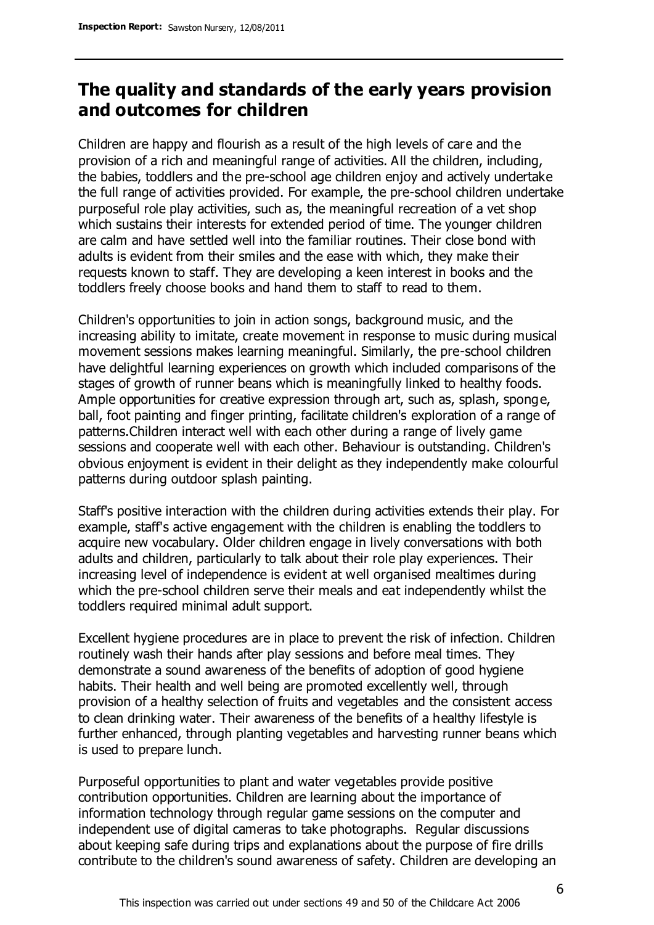## **The quality and standards of the early years provision and outcomes for children**

Children are happy and flourish as a result of the high levels of care and the provision of a rich and meaningful range of activities. All the children, including, the babies, toddlers and the pre-school age children enjoy and actively undertake the full range of activities provided. For example, the pre-school children undertake purposeful role play activities, such as, the meaningful recreation of a vet shop which sustains their interests for extended period of time. The younger children are calm and have settled well into the familiar routines. Their close bond with adults is evident from their smiles and the ease with which, they make their requests known to staff. They are developing a keen interest in books and the toddlers freely choose books and hand them to staff to read to them.

Children's opportunities to join in action songs, background music, and the increasing ability to imitate, create movement in response to music during musical movement sessions makes learning meaningful. Similarly, the pre-school children have delightful learning experiences on growth which included comparisons of the stages of growth of runner beans which is meaningfully linked to healthy foods. Ample opportunities for creative expression through art, such as, splash, sponge, ball, foot painting and finger printing, facilitate children's exploration of a range of patterns.Children interact well with each other during a range of lively game sessions and cooperate well with each other. Behaviour is outstanding. Children's obvious enjoyment is evident in their delight as they independently make colourful patterns during outdoor splash painting.

Staff's positive interaction with the children during activities extends their play. For example, staff's active engagement with the children is enabling the toddlers to acquire new vocabulary. Older children engage in lively conversations with both adults and children, particularly to talk about their role play experiences. Their increasing level of independence is evident at well organised mealtimes during which the pre-school children serve their meals and eat independently whilst the toddlers required minimal adult support.

Excellent hygiene procedures are in place to prevent the risk of infection. Children routinely wash their hands after play sessions and before meal times. They demonstrate a sound awareness of the benefits of adoption of good hygiene habits. Their health and well being are promoted excellently well, through provision of a healthy selection of fruits and vegetables and the consistent access to clean drinking water. Their awareness of the benefits of a healthy lifestyle is further enhanced, through planting vegetables and harvesting runner beans which is used to prepare lunch.

Purposeful opportunities to plant and water vegetables provide positive contribution opportunities. Children are learning about the importance of information technology through regular game sessions on the computer and independent use of digital cameras to take photographs. Regular discussions about keeping safe during trips and explanations about the purpose of fire drills contribute to the children's sound awareness of safety. Children are developing an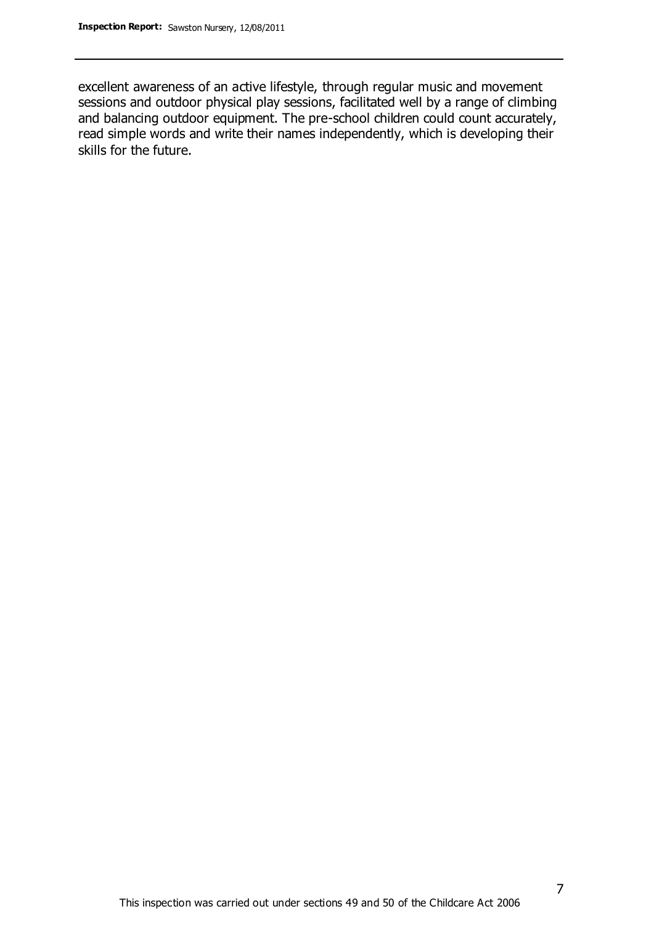excellent awareness of an active lifestyle, through regular music and movement sessions and outdoor physical play sessions, facilitated well by a range of climbing and balancing outdoor equipment. The pre-school children could count accurately, read simple words and write their names independently, which is developing their skills for the future.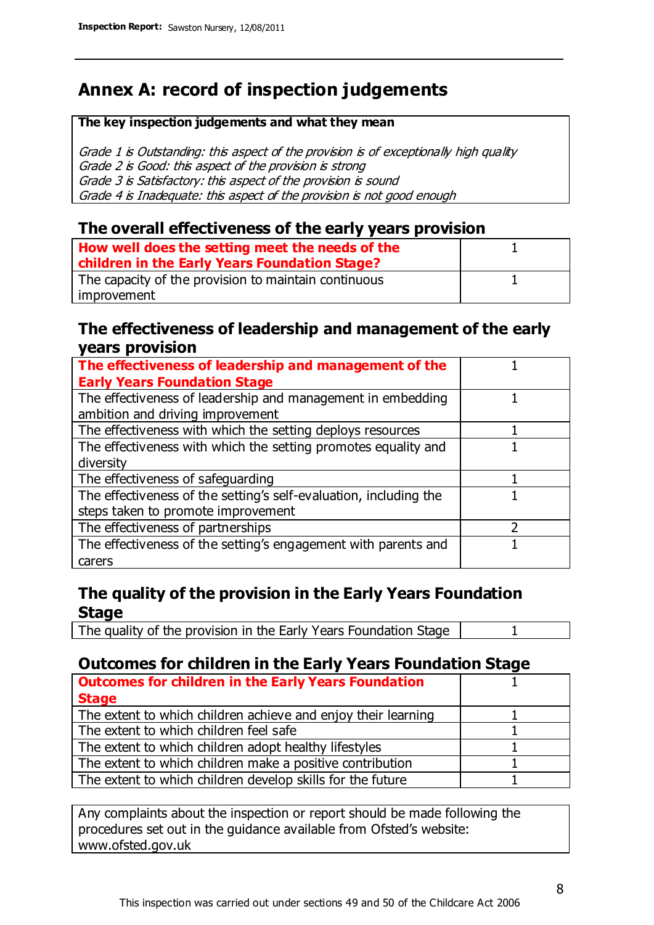# **Annex A: record of inspection judgements**

#### **The key inspection judgements and what they mean**

Grade 1 is Outstanding: this aspect of the provision is of exceptionally high quality Grade 2 is Good: this aspect of the provision is strong Grade 3 is Satisfactory: this aspect of the provision is sound Grade 4 is Inadequate: this aspect of the provision is not good enough

#### **The overall effectiveness of the early years provision**

| How well does the setting meet the needs of the<br>children in the Early Years Foundation Stage? |  |
|--------------------------------------------------------------------------------------------------|--|
| The capacity of the provision to maintain continuous                                             |  |
| improvement                                                                                      |  |

#### **The effectiveness of leadership and management of the early years provision**

| The effectiveness of leadership and management of the             |  |
|-------------------------------------------------------------------|--|
| <b>Early Years Foundation Stage</b>                               |  |
| The effectiveness of leadership and management in embedding       |  |
| ambition and driving improvement                                  |  |
| The effectiveness with which the setting deploys resources        |  |
| The effectiveness with which the setting promotes equality and    |  |
| diversity                                                         |  |
| The effectiveness of safeguarding                                 |  |
| The effectiveness of the setting's self-evaluation, including the |  |
| steps taken to promote improvement                                |  |
| The effectiveness of partnerships                                 |  |
| The effectiveness of the setting's engagement with parents and    |  |
| carers                                                            |  |

#### **The quality of the provision in the Early Years Foundation Stage**

The quality of the provision in the Early Years Foundation Stage | 1

#### **Outcomes for children in the Early Years Foundation Stage**

| <b>Outcomes for children in the Early Years Foundation</b>    |  |
|---------------------------------------------------------------|--|
| <b>Stage</b>                                                  |  |
| The extent to which children achieve and enjoy their learning |  |
| The extent to which children feel safe                        |  |
| The extent to which children adopt healthy lifestyles         |  |
| The extent to which children make a positive contribution     |  |
| The extent to which children develop skills for the future    |  |

Any complaints about the inspection or report should be made following the procedures set out in the guidance available from Ofsted's website: www.ofsted.gov.uk